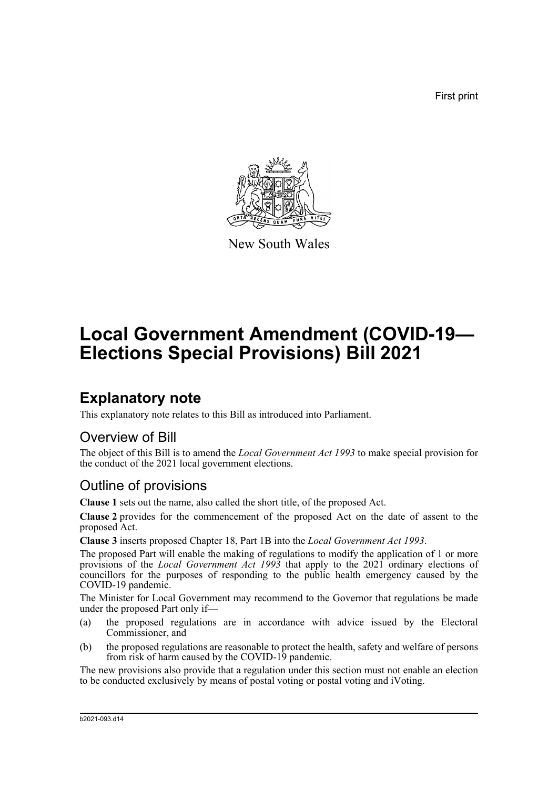First print



New South Wales

# **Local Government Amendment (COVID-19— Elections Special Provisions) Bill 2021**

## **Explanatory note**

This explanatory note relates to this Bill as introduced into Parliament.

#### Overview of Bill

The object of this Bill is to amend the *Local Government Act 1993* to make special provision for the conduct of the 2021 local government elections.

#### Outline of provisions

**Clause 1** sets out the name, also called the short title, of the proposed Act.

**Clause 2** provides for the commencement of the proposed Act on the date of assent to the proposed Act.

**Clause 3** inserts proposed Chapter 18, Part 1B into the *Local Government Act 1993*.

The proposed Part will enable the making of regulations to modify the application of 1 or more provisions of the *Local Government Act 1993* that apply to the 2021 ordinary elections of councillors for the purposes of responding to the public health emergency caused by the COVID-19 pandemic.

The Minister for Local Government may recommend to the Governor that regulations be made under the proposed Part only if—

- (a) the proposed regulations are in accordance with advice issued by the Electoral Commissioner, and
- (b) the proposed regulations are reasonable to protect the health, safety and welfare of persons from risk of harm caused by the COVID-19 pandemic.

The new provisions also provide that a regulation under this section must not enable an election to be conducted exclusively by means of postal voting or postal voting and iVoting.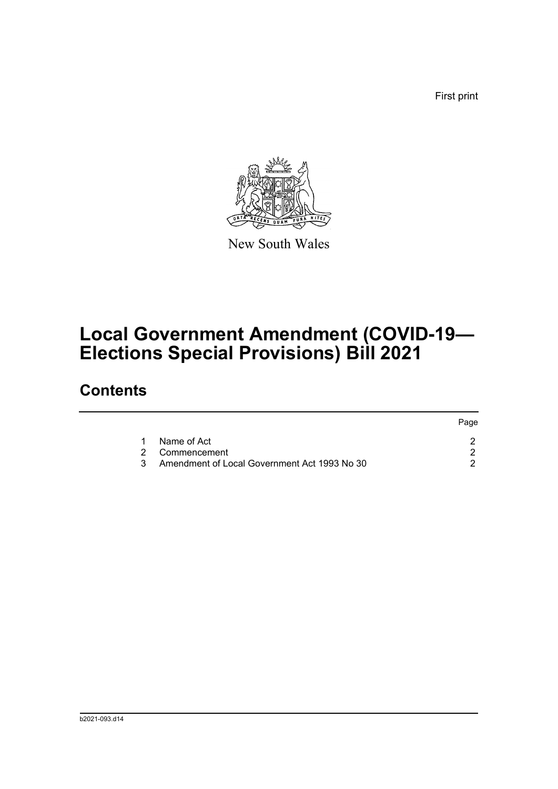First print



New South Wales

# **Local Government Amendment (COVID-19— Elections Special Provisions) Bill 2021**

## **Contents**

|   |                                              | Page |  |
|---|----------------------------------------------|------|--|
| 1 | Name of Act                                  |      |  |
|   | 2 Commencement                               |      |  |
| 3 | Amendment of Local Government Act 1993 No 30 |      |  |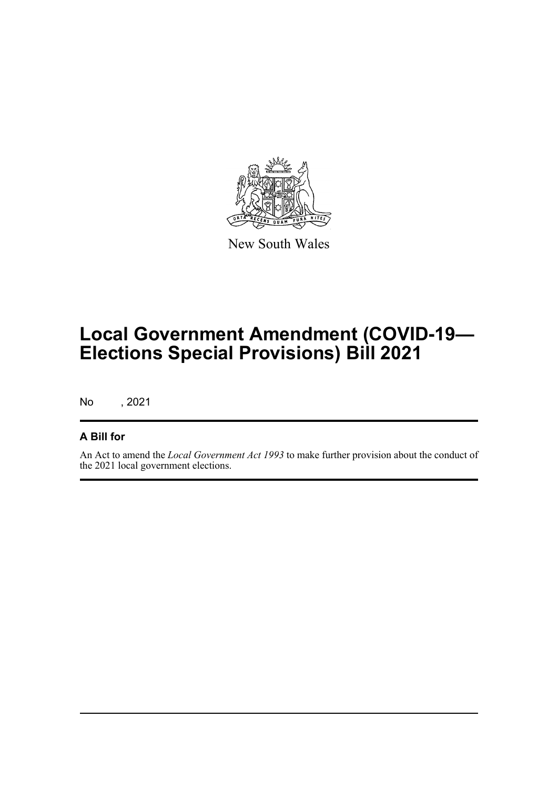

New South Wales

# **Local Government Amendment (COVID-19— Elections Special Provisions) Bill 2021**

No , 2021

#### **A Bill for**

An Act to amend the *Local Government Act 1993* to make further provision about the conduct of the 2021 local government elections.